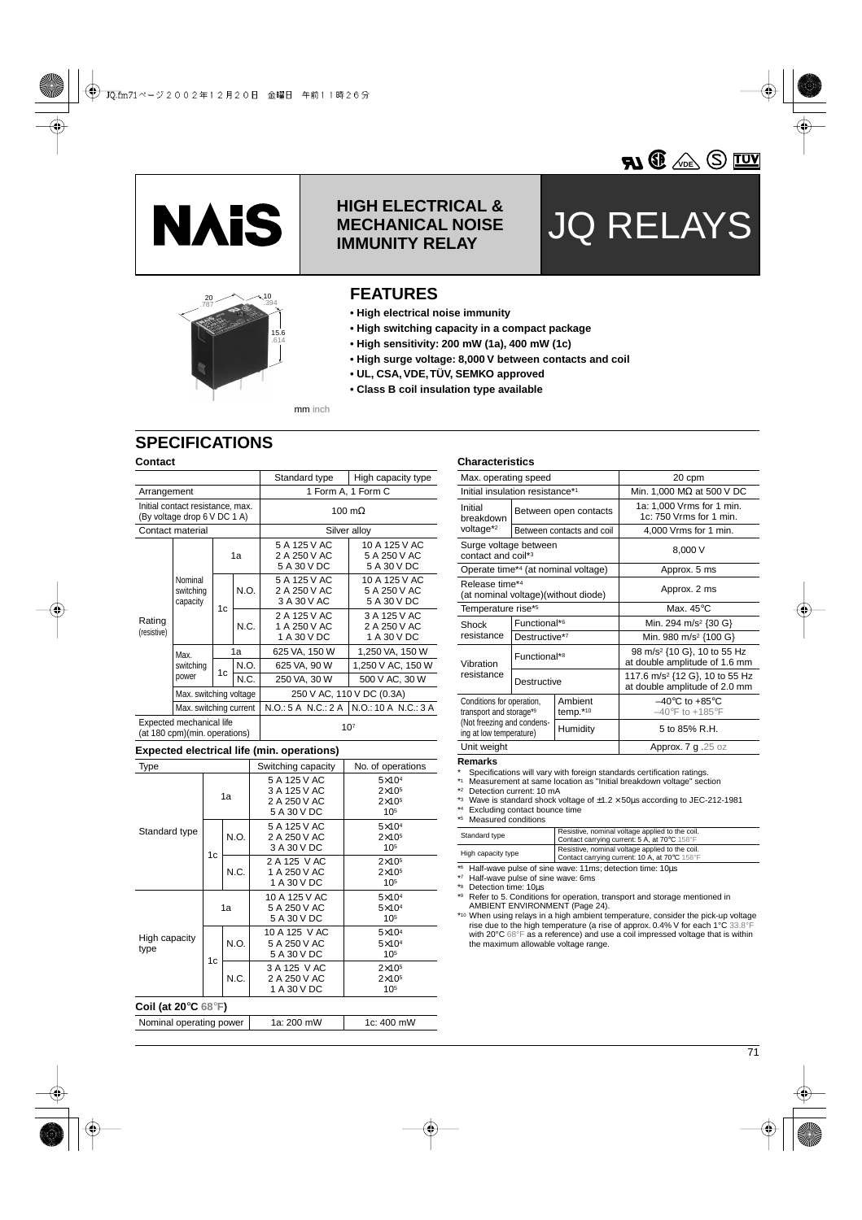



# **HIGH ELECTRICAL & MECHANICAL NOISE IMMUNITY RELAY**

# JQ RELAYS



### **FEATURES**

- **High electrical noise immunity**
- **High switching capacity in a compact package**
- **High sensitivity: 200 mW (1a), 400 mW (1c)**
- **High surge voltage: 8,000 V between contacts and coil**
- **UL, CSA, VDE, TÜV, SEMKO approved**
- **Class B coil insulation type available**

mm inch

# **SPECIFICATIONS**

### **Contact**

|                                                                  |                                  |    |      | Standard type                               | High capacity type                           |  |  |
|------------------------------------------------------------------|----------------------------------|----|------|---------------------------------------------|----------------------------------------------|--|--|
| Arrangement                                                      |                                  |    |      | 1 Form A, 1 Form C                          |                                              |  |  |
| Initial contact resistance, max.<br>(By voltage drop 6 V DC 1 A) |                                  |    |      | 100 m $\Omega$                              |                                              |  |  |
|                                                                  | Contact material                 |    |      | Silver alloy                                |                                              |  |  |
|                                                                  |                                  | 1a |      | 5 A 125 V AC<br>2 A 250 V AC<br>5 A 30 V DC | 10 A 125 V AC<br>5 A 250 V AC<br>5 A 30 V DC |  |  |
|                                                                  | Nominal<br>switching<br>capacity | 1c | N.O. | 5 A 125 V AC<br>2 A 250 V AC<br>3 A 30 V AC | 10 A 125 V AC<br>5 A 250 V AC<br>5 A 30 V DC |  |  |
| Rating<br>(resistive)                                            |                                  |    | N.C. | 2 A 125 V AC<br>1 A 250 V AC<br>1 A 30 V DC | 3 A 125 V AC<br>2 A 250 V AC<br>1 A 30 V DC  |  |  |
|                                                                  | Max.<br>switching<br>power       | 1a |      | 625 VA, 150 W                               | 1,250 VA, 150 W                              |  |  |
|                                                                  |                                  | 1c | N.O. | 625 VA, 90 W                                | 1,250 V AC, 150 W                            |  |  |
|                                                                  |                                  |    | N.C. | 250 VA, 30 W                                | 500 V AC, 30 W                               |  |  |
|                                                                  | Max. switching voltage           |    |      | 250 V AC, 110 V DC (0.3A)                   |                                              |  |  |
|                                                                  | Max. switching current           |    |      |                                             | N.O.: 5 A N.C.: 2 A   N.O.: 10 A N.C.: 3 A   |  |  |
| Expected mechanical life<br>(at 180 cpm)(min. operations)        |                                  |    |      | 10 <sup>7</sup>                             |                                              |  |  |

### **Expected electrical life (min. operations)**

| pv<br>$\cdots \cdots$                                      |                |      |                                                             |                                                                 |  |  |
|------------------------------------------------------------|----------------|------|-------------------------------------------------------------|-----------------------------------------------------------------|--|--|
| Type                                                       |                |      | Switching capacity                                          | No. of operations                                               |  |  |
|                                                            | 1a             |      | 5 A 125 V AC<br>3 A 125 V AC<br>2 A 250 V AC<br>5 A 30 V DC | $5\times10^4$<br>$2\times10^{5}$<br>$2\times10^{5}$<br>$10^{5}$ |  |  |
| Standard type                                              | 1 <sub>c</sub> | N.O. | 5 A 125 V AC<br>2 A 250 V AC<br>3 A 30 V DC                 | $5\times104$<br>$2\times10^{5}$<br>$10^{5}$                     |  |  |
|                                                            |                | N.C. | 2 A 125 V AC<br>1 A 250 V AC<br>1 A 30 V DC                 | $2\times10^{5}$<br>$2\times10^{5}$<br>$10^{5}$                  |  |  |
|                                                            | 1a             |      | 10 A 125 V AC<br>5 A 250 V AC<br>5 A 30 V DC                | $5\times104$<br>$5\times10^4$<br>$10^{5}$                       |  |  |
| High capacity<br>type                                      | 1c             | N.O. | 10 A 125 V AC<br>5 A 250 V AC<br>5 A 30 V DC                | $5\times104$<br>$5\times104$<br>$10^{5}$                        |  |  |
|                                                            |                | N.C. | 3 A 125 V AC<br>2 A 250 V AC<br>1 A 30 V DC                 | $2\times10^{5}$<br>$2\times105$<br>105                          |  |  |
| Coil (at 20 $\mathrm{^{\circ}C}$ 68 $\mathrm{^{\circ}F}$ ) |                |      |                                                             |                                                                 |  |  |
| Nominal operating power                                    |                |      | 1a: 200 mW                                                  | 1c: 400 mW                                                      |  |  |

### **Characteristics**

| Max. operating speed                                                                                          |                          |                                      | 20 cpm                                                                      |  |  |
|---------------------------------------------------------------------------------------------------------------|--------------------------|--------------------------------------|-----------------------------------------------------------------------------|--|--|
| Initial insulation resistance*1                                                                               |                          |                                      | Min. 1,000 M $\Omega$ at 500 V DC                                           |  |  |
| Initial<br>breakdown                                                                                          |                          | Between open contacts                | 1a: 1,000 Vrms for 1 min.<br>$1c: 750$ Vrms for 1 min.                      |  |  |
| voltage* <sup>2</sup>                                                                                         |                          | Between contacts and coil            | 4,000 Vrms for 1 min.                                                       |  |  |
| Surge voltage between<br>contact and coil*3                                                                   |                          |                                      | 8,000 V                                                                     |  |  |
|                                                                                                               |                          | Operate time*4 (at nominal voltage)  | Approx. 5 ms                                                                |  |  |
| Release time*4                                                                                                |                          | (at nominal voltage) (without diode) | Approx. 2 ms                                                                |  |  |
| Temperature rise* <sup>5</sup>                                                                                |                          |                                      | Max. $45^{\circ}$ C                                                         |  |  |
| Shock                                                                                                         | Functional* <sup>6</sup> |                                      | Min. 294 m/s <sup>2</sup> {30 G}                                            |  |  |
| resistance                                                                                                    | Destructive*7            |                                      | Min. 980 m/s <sup>2</sup> {100 G}                                           |  |  |
| Vibration                                                                                                     | Functional* <sup>8</sup> |                                      | 98 m/s <sup>2</sup> {10 G}, 10 to 55 Hz<br>at double amplitude of 1.6 mm    |  |  |
| resistance                                                                                                    | Destructive              |                                      | 117.6 m/s <sup>2</sup> {12 G}, 10 to 55 Hz<br>at double amplitude of 2.0 mm |  |  |
| Conditions for operation,<br>transport and storage*9<br>(Not freezing and condens-<br>ing at low temperature) |                          | Ambient<br>temp. $*10$               | $-40^{\circ}$ C to $+85^{\circ}$ C<br>$-40$ °F to +185°F                    |  |  |
|                                                                                                               |                          | Humidity                             | 5 to 85% R.H.                                                               |  |  |
| Unit weight                                                                                                   |                          |                                      | Approx. 7 g.25 oz                                                           |  |  |

### **Remarks**

\* Specifications will vary with foreign standards certification ratings. \*1 Measurement at same location as "Initial breakdown voltage" section

\*2 Detection current: 10 mA

\*3 Wave is standard shock voltage of ±1.2 × 50µs according to JEC-212-1981 \*4 Excluding contact bounce time

\*5 Measured conditions

| Standard type      | Resistive, nominal voltage applied to the coil.<br>Contact carrying current: 5 A, at 70°C 158°F  |
|--------------------|--------------------------------------------------------------------------------------------------|
| High capacity type | Resistive, nominal voltage applied to the coil.<br>Contact carrying current: 10 A, at 70°C 158°F |

\*6 Half-wave pulse of sine wave: 11ms; detection time: 10µs

\*7 Half-wave pulse of sine wave: 6ms

\*8 Detection time: 10µs

\*9 Refer to 5. Conditions for operation, transport and storage mentioned in AMBIENT ENVIRONMENT (Page 24).

\*10 When using relays in a high ambient temperature, consider the pick-up voltage rise due to the high temperature (a rise of approx. 0.4% V for each 1°C 33.8°F with 20°C 68°F as a reference) and use a coil impressed voltage that is within the maximum allowable voltage range.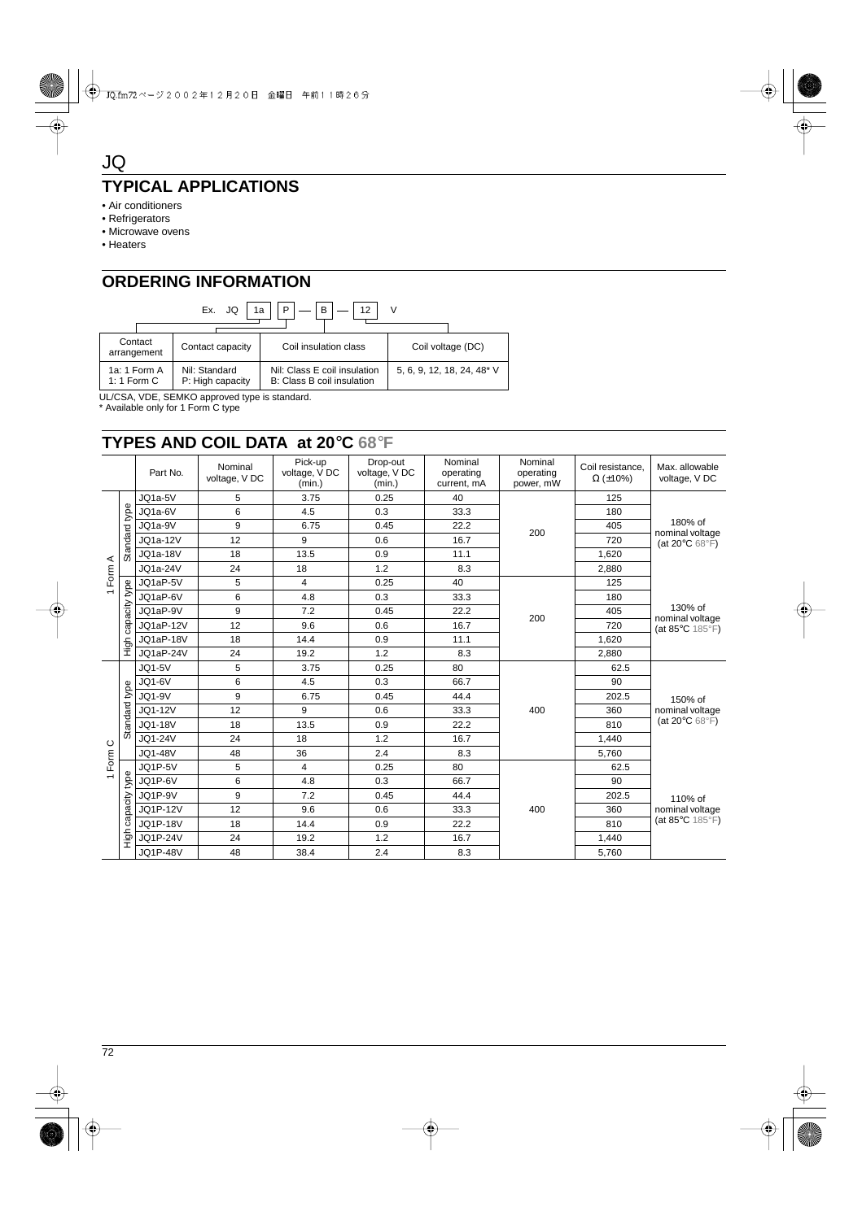# **TYPICAL APPLICATIONS**

- Air conditioners
- Refrigerators
- Microwave ovens
- Heaters

JQ

# **ORDERING INFORMATION**

| B<br>P<br>Ex. JQ<br>1a        |  |                                   |                                                            |                            |  |  |  |  |
|-------------------------------|--|-----------------------------------|------------------------------------------------------------|----------------------------|--|--|--|--|
| Contact<br>arrangement        |  | Contact capacity                  | Coil insulation class                                      | Coil voltage (DC)          |  |  |  |  |
| 1a: 1 Form A<br>1: 1 Form $C$ |  | Nil: Standard<br>P: High capacity | Nil: Class E coil insulation<br>B: Class B coil insulation | 5, 6, 9, 12, 18, 24, 48* V |  |  |  |  |

UL/CSA, VDE, SEMKO approved type is standard.

\* Available only for 1 Form C type

# **TYPES AND COIL DATA at 20**°**C 68**°**F**

|                                                      |          | Part No.        | Nominal<br>voltage, V DC | Pick-up<br>voltage, V DC<br>(min.) | Drop-out<br>voltage, V DC<br>(min.) | Nominal<br>operating<br>current, mA | Nominal<br>operating<br>power, mW | Coil resistance.<br>$\Omega$ (±10%) | Max. allowable<br>voltage, V DC                                    |
|------------------------------------------------------|----------|-----------------|--------------------------|------------------------------------|-------------------------------------|-------------------------------------|-----------------------------------|-------------------------------------|--------------------------------------------------------------------|
| Standard                                             |          | JQ1a-5V         | 5                        | 3.75                               | 0.25                                | 40                                  |                                   | 125                                 | 180% of<br>nominal voltage<br>(at $20^{\circ}$ C 68 $^{\circ}$ F)  |
|                                                      | type     | JQ1a-6V         | 6                        | 4.5                                | 0.3                                 | 33.3                                |                                   | 180                                 |                                                                    |
|                                                      |          | JQ1a-9V         | 9                        | 6.75                               | 0.45                                | 22.2                                | 200                               | 405                                 |                                                                    |
|                                                      |          | JQ1a-12V        | 12                       | 9                                  | 0.6                                 | 16.7                                |                                   | 720                                 |                                                                    |
|                                                      |          | <b>JQ1a-18V</b> | 18                       | 13.5                               | 0.9                                 | 11.1                                |                                   | 1,620                               |                                                                    |
| Form A                                               |          | JQ1a-24V        | 24                       | 18                                 | 1.2                                 | 8.3                                 |                                   | 2,880                               |                                                                    |
|                                                      | type     | JQ1aP-5V        | 5                        | 4                                  | 0.25                                | 40                                  |                                   | 125                                 | 130% of<br>nominal voltage<br>(at $85^{\circ}$ C 185 $^{\circ}$ F) |
| $\overline{\phantom{0}}$                             |          | JQ1aP-6V        | 6                        | 4.8                                | 0.3                                 | 33.3                                | 200                               | 180                                 |                                                                    |
|                                                      | capacity | JQ1aP-9V        | 9                        | 7.2                                | 0.45                                | 22.2                                |                                   | 405                                 |                                                                    |
|                                                      |          | JQ1aP-12V       | 12                       | 9.6                                | 0.6                                 | 16.7                                |                                   | 720                                 |                                                                    |
|                                                      |          | JQ1aP-18V       | 18                       | 14.4                               | 0.9                                 | 11.1                                |                                   | 1,620                               |                                                                    |
|                                                      | ら<br>エ   | JQ1aP-24V       | 24                       | 19.2                               | 1.2                                 | 8.3                                 |                                   | 2,880                               |                                                                    |
|                                                      |          | <b>JQ1-5V</b>   | 5                        | 3.75                               | 0.25                                | 80                                  |                                   | 62.5                                | 150% of<br>nominal voltage<br>(at $20^{\circ}$ C 68 $^{\circ}$ F)  |
|                                                      |          | <b>JQ1-6V</b>   | 6                        | 4.5                                | 0.3                                 | 66.7                                | 400                               | 90                                  |                                                                    |
|                                                      | type     | <b>JQ1-9V</b>   | 9                        | 6.75                               | 0.45                                | 44.4                                |                                   | 202.5                               |                                                                    |
|                                                      | Standard | JQ1-12V         | 12                       | 9                                  | 0.6                                 | 33.3                                |                                   | 360                                 |                                                                    |
|                                                      |          | JQ1-18V         | 18                       | 13.5                               | 0.9                                 | 22.2                                |                                   | 810                                 |                                                                    |
|                                                      |          | JQ1-24V         | 24                       | 18                                 | 1.2                                 | 16.7                                |                                   | 1,440                               |                                                                    |
| Form C<br>type<br>$\overline{ }$<br>capacity<br>High |          | JQ1-48V         | 48                       | 36                                 | 2.4                                 | 8.3                                 |                                   | 5,760                               |                                                                    |
|                                                      |          | JQ1P-5V         | 5                        | 4                                  | 0.25                                | 80                                  |                                   | 62.5                                |                                                                    |
|                                                      |          | JQ1P-6V         | 6                        | 4.8                                | 0.3                                 | 66.7                                |                                   | 90                                  | 110% of<br>nominal voltage<br>(at $85^{\circ}$ C 185 $^{\circ}$ F) |
|                                                      |          | JQ1P-9V         | 9                        | 7.2                                | 0.45                                | 44.4                                |                                   | 202.5                               |                                                                    |
|                                                      |          | <b>JQ1P-12V</b> | 12                       | 9.6                                | 0.6                                 | 33.3                                | 400                               | 360                                 |                                                                    |
|                                                      |          | <b>JQ1P-18V</b> | 18                       | 14.4                               | 0.9                                 | 22.2                                |                                   | 810                                 |                                                                    |
|                                                      |          | <b>JQ1P-24V</b> | 24                       | 19.2                               | 1.2                                 | 16.7                                |                                   | 1,440                               |                                                                    |
|                                                      |          | <b>JQ1P-48V</b> | 48                       | 38.4                               | 2.4                                 | 8.3                                 |                                   | 5,760                               |                                                                    |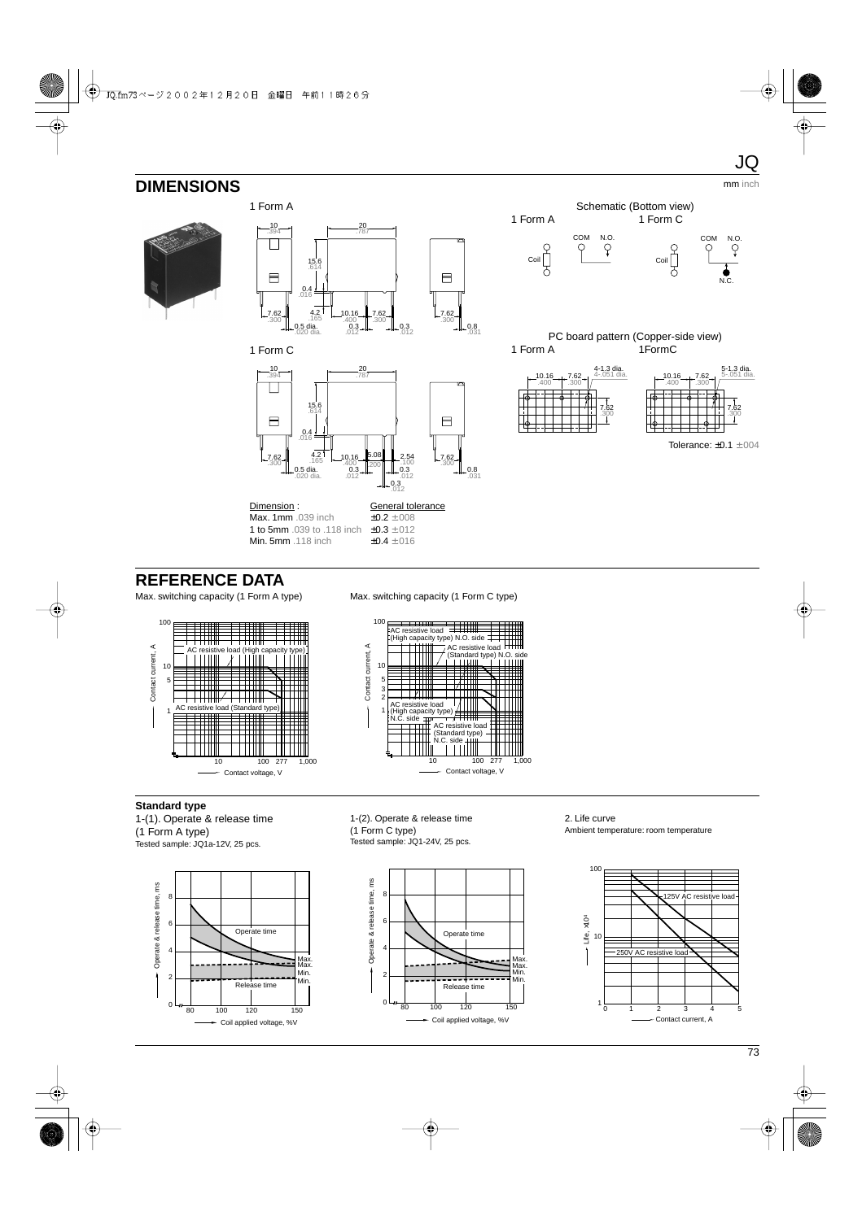# **DIMENSIONS** mm inch







 $\frac{\text{Dimension}}{\text{Max. 1mm}}$ . 039 inch  $\frac{\text{General tolerance}}{\pm 0.2 \pm 0.08}$ Max. 1mm .039 inch **1 to 5mm** .039 to .118 inch  $\pm 0.3 \pm .012$ <br>**Min. 5mm** .118 inch  $\pm 0.4 \pm .016$ Min. 5mm .118 inch



PC board pattern (Copper-side view) 1 Form A 1FormC





# **REFERENCE DATA**

Max. switching capacity (1 Form A type) Max. switching capacity (1 Form C type)





**Standard type**

1-(1). Operate & release time (1 Form A type) Tested sample: JQ1a-12V, 25 pcs.



1-(2). Operate & release time (1 Form C type) Tested sample: JQ1-24V, 25 pcs.



2. Life curve Ambient temperature: room temperature



JQ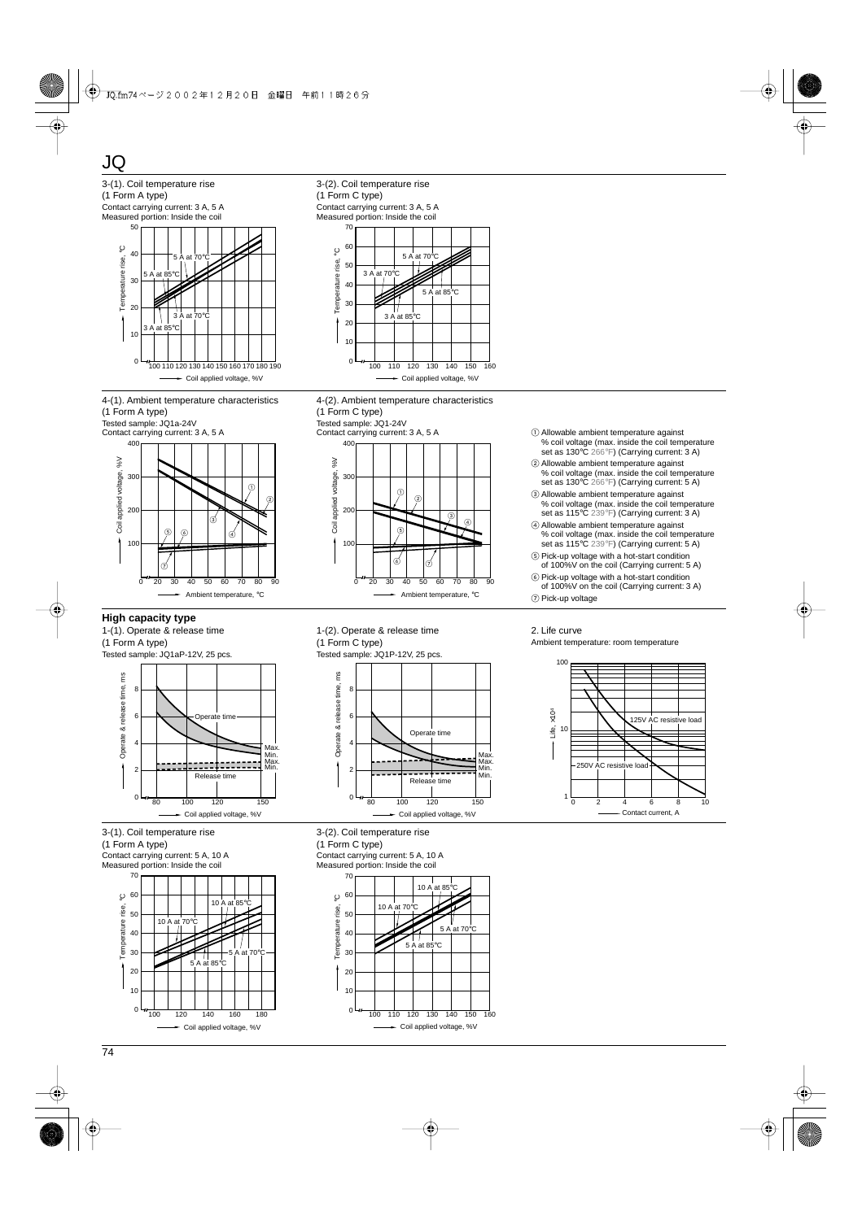

- Coil applied voltage, %V

100 110 120 130 140 150 160

 $0<sub>1</sub>$ 

ىا 0

100 120 140 160 180

Coil applied voltage, %V